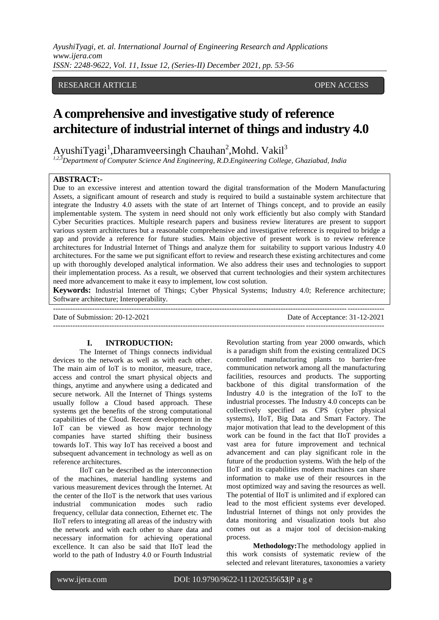*AyushiTyagi, et. al. International Journal of Engineering Research and Applications www.ijera.com ISSN: 2248-9622, Vol. 11, Issue 12, (Series-II) December 2021, pp. 53-56*

## RESEARCH ARTICLE **CONTRACT OPEN ACCESS**

# **A comprehensive and investigative study of reference architecture of industrial internet of things and industry 4.0**

AyushiTyagi<sup>1</sup>,Dharamveersingh Chauhan<sup>2</sup>,Mohd. Vakil<sup>3</sup>

*1,2,3Department of Computer Science And Engineering, R.D.Engineering College, Ghaziabad, India*

#### **ABSTRACT:-**

Due to an excessive interest and attention toward the digital transformation of the Modern Manufacturing Assets, a significant amount of research and study is required to build a sustainable system architecture that integrate the Industry 4.0 assets with the state of art Internet of Things concept, and to provide an easily implementable system. The system in need should not only work efficiently but also comply with Standard Cyber Securities practices. Multiple research papers and business review literatures are present to support various system architectures but a reasonable comprehensive and investigative reference is required to bridge a gap and provide a reference for future studies. Main objective of present work is to review reference architectures for Industrial Internet of Things and analyze them for suitability to support various Industry 4.0 architectures. For the same we put significant effort to review and research these existing architectures and come up with thoroughly developed analytical information. We also address their uses and technologies to support their implementation process. As a result, we observed that current technologies and their system architectures need more advancement to make it easy to implement, low cost solution.

**Keywords:** Industrial Internet of Things; Cyber Physical Systems; Industry 4.0; Reference architecture; Software architecture; Interoperability.

---------------------------------------------------------------------------------------------------------------------------------------

Date of Submission: 20-12-2021 Date of Acceptance: 31-12-2021

 $-1.1$ 

#### **I. INTRODUCTION:**

The Internet of Things connects individual devices to the network as well as with each other. The main aim of IoT is to monitor, measure, trace, access and control the smart physical objects and things, anytime and anywhere using a dedicated and secure network. All the Internet of Things systems usually follow a Cloud based approach. These systems get the benefits of the strong computational capabilities of the Cloud. Recent development in the IoT can be viewed as how major technology companies have started shifting their business towards IoT. This way IoT has received a boost and subsequent advancement in technology as well as on reference architectures.

IIoT can be described as the interconnection of the machines, material handling systems and various measurement devices through the Internet. At the center of the IIoT is the network that uses various industrial communication modes such radio frequency, cellular data connection, Ethernet etc. The IIoT refers to integrating all areas of the industry with the network and with each other to share data and necessary information for achieving operational excellence. It can also be said that IIoT lead the world to the path of Industry 4.0 or Fourth Industrial

Revolution starting from year 2000 onwards, which is a paradigm shift from the existing centralized DCS controlled manufacturing plants to barrier-free communication network among all the manufacturing facilities, resources and products. The supporting backbone of this digital transformation of the Industry 4.0 is the integration of the IoT to the industrial processes. The Industry 4.0 concepts can be collectively specified as CPS (cyber physical systems), IIoT, Big Data and Smart Factory. The major motivation that lead to the development of this work can be found in the fact that IIoT provides a vast area for future improvement and technical advancement and can play significant role in the future of the production systems. With the help of the IIoT and its capabilities modern machines can share information to make use of their resources in the most optimized way and saving the resources as well. The potential of IIoT is unlimited and if explored can lead to the most efficient systems ever developed. Industrial Internet of things not only provides the data monitoring and visualization tools but also comes out as a major tool of decision-making process.

**Methodology:**The methodology applied in this work consists of systematic review of the selected and relevant literatures, taxonomies a variety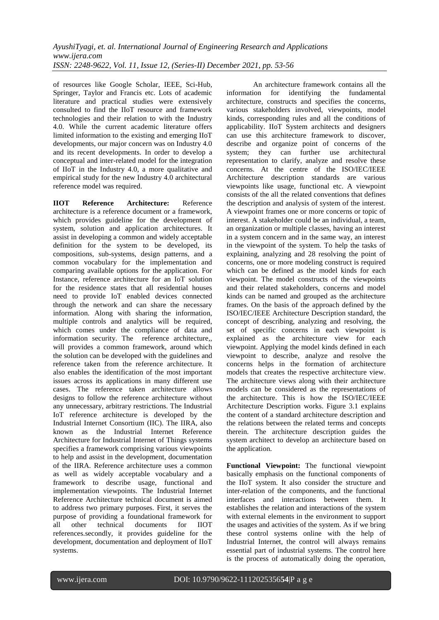of resources like Google Scholar, IEEE, Sci-Hub, Springer, Taylor and Francis etc. Lots of academic literature and practical studies were extensively consulted to find the IIoT resource and framework technologies and their relation to with the Industry 4.0. While the current academic literature offers limited information to the existing and emerging IIoT developments, our major concern was on Industry 4.0 and its recent developments. In order to develop a conceptual and inter-related model for the integration of IIoT in the Industry 4.0, a more qualitative and empirical study for the new Industry 4.0 architectural reference model was required.

**IIOT Reference Architecture:** Reference architecture is a reference document or a framework, which provides guideline for the development of system, solution and application architectures. It assist in developing a common and widely acceptable definition for the system to be developed, its compositions, sub-systems, design patterns, and a common vocabulary for the implementation and comparing available options for the application. For Instance, reference architecture for an IoT solution for the residence states that all residential houses need to provide IoT enabled devices connected through the network and can share the necessary information. Along with sharing the information, multiple controls and analytics will be required, which comes under the compliance of data and information security. The reference architecture,, will provides a common framework, around which the solution can be developed with the guidelines and reference taken from the reference architecture. It also enables the identification of the most important issues across its applications in many different use cases. The reference taken architecture allows designs to follow the reference architecture without any unnecessary, arbitrary restrictions. The Industrial IoT reference architecture is developed by the Industrial Internet Consortium (IIC). The IIRA, also known as the Industrial Internet Reference Architecture for Industrial Internet of Things systems specifies a framework comprising various viewpoints to help and assist in the development, documentation of the IIRA. Reference architecture uses a common as well as widely acceptable vocabulary and a framework to describe usage, functional and implementation viewpoints. The Industrial Internet Reference Architecture technical document is aimed to address two primary purposes. First, it serves the purpose of providing a foundational framework for all other technical documents for IIOT references.secondly, it provides guideline for the development, documentation and deployment of IIoT systems.

An architecture framework contains all the information for identifying the fundamental architecture, constructs and specifies the concerns, various stakeholders involved, viewpoints, model kinds, corresponding rules and all the conditions of applicability. IIoT System architects and designers can use this architecture framework to discover, describe and organize point of concerns of the system; they can further use architectural representation to clarify, analyze and resolve these concerns. At the centre of the ISO/IEC/IEEE Architecture description standards are various viewpoints like usage, functional etc. A viewpoint consists of the all the related conventions that defines the description and analysis of system of the interest. A viewpoint frames one or more concerns or topic of interest. A stakeholder could be an individual, a team, an organization or multiple classes, having an interest in a system concern and in the same way, an interest in the viewpoint of the system. To help the tasks of explaining, analyzing and 28 resolving the point of concerns, one or more modeling construct is required which can be defined as the model kinds for each viewpoint. The model constructs of the viewpoints and their related stakeholders, concerns and model kinds can be named and grouped as the architecture frames. On the basis of the approach defined by the ISO/IEC/IEEE Architecture Description standard, the concept of describing, analyzing and resolving, the set of specific concerns in each viewpoint is explained as the architecture view for each viewpoint. Applying the model kinds defined in each viewpoint to describe, analyze and resolve the concerns helps in the formation of architecture models that creates the respective architecture view. The architecture views along with their architecture models can be considered as the representations of the architecture. This is how the ISO/IEC/IEEE Architecture Description works. Figure 3.1 explains the content of a standard architecture description and the relations between the related terms and concepts therein. The architecture description guides the system architect to develop an architecture based on the application.

**Functional Viewpoint:** The functional viewpoint basically emphasis on the functional components of the IIoT system. It also consider the structure and inter-relation of the components, and the functional interfaces and interactions between them. It establishes the relation and interactions of the system with external elements in the environment to support the usages and activities of the system. As if we bring these control systems online with the help of Industrial Internet, the control will always remains essential part of industrial systems. The control here is the process of automatically doing the operation,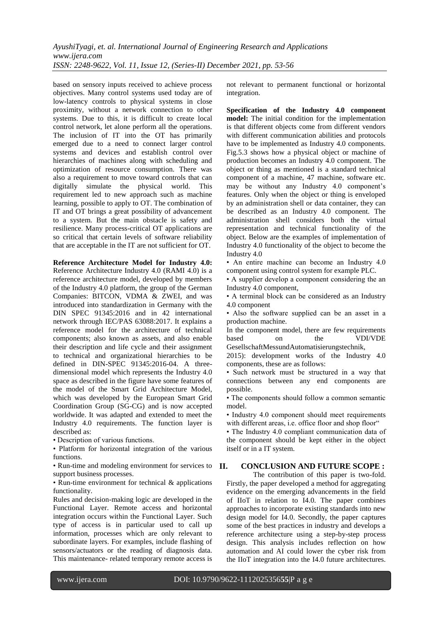based on sensory inputs received to achieve process objectives. Many control systems used today are of low-latency controls to physical systems in close proximity, without a network connection to other systems. Due to this, it is difficult to create local control network, let alone perform all the operations. The inclusion of IT into the OT has primarily emerged due to a need to connect larger control systems and devices and establish control over hierarchies of machines along with scheduling and optimization of resource consumption. There was also a requirement to move toward controls that can digitally simulate the physical world. This requirement led to new approach such as machine learning, possible to apply to OT. The combination of IT and OT brings a great possibility of advancement to a system. But the main obstacle is safety and resilience. Many process-critical OT applications are so critical that certain levels of software reliability that are acceptable in the IT are not sufficient for OT.

**Reference Architecture Model for Industry 4.0:** Reference Architecture Industry 4.0 (RAMI 4.0) is a reference architecture model, developed by members of the Industry 4.0 platform, the group of the German Companies: BITCON, VDMA & ZWEI, and was introduced into standardization in Germany with the DIN SPEC 91345:2016 and in 42 international network through IEC/PAS 63088:2017. It explains a reference model for the architecture of technical components; also known as assets, and also enable their description and life cycle and their assignment to technical and organizational hierarchies to be defined in DIN-SPEC 91345:2016-04. A threedimensional model which represents the Industry 4.0 space as described in the figure have some features of the model of the Smart Grid Architecture Model, which was developed by the European Smart Grid Coordination Group (SG-CG) and is now accepted worldwide. It was adapted and extended to meet the Industry 4.0 requirements. The function layer is described as:

• Description of various functions.

• Platform for horizontal integration of the various functions.

• Run-time and modeling environment for services to **II.** support business processes.

• Run-time environment for technical  $\&$  applications functionality.

Rules and decision-making logic are developed in the Functional Layer. Remote access and horizontal integration occurs within the Functional Layer. Such type of access is in particular used to call up information, processes which are only relevant to subordinate layers. For examples, include flashing of sensors/actuators or the reading of diagnosis data. This maintenance- related temporary remote access is

not relevant to permanent functional or horizontal integration.

**Specification of the Industry 4.0 component model:** The initial condition for the implementation is that different objects come from different vendors with different communication abilities and protocols have to be implemented as Industry 4.0 components. Fig.5.3 shows how a physical object or machine of production becomes an Industry 4.0 component. The object or thing as mentioned is a standard technical component of a machine, 47 machine, software etc. may be without any Industry 4.0 component's features. Only when the object or thing is enveloped by an administration shell or data container, they can be described as an Industry 4.0 component. The administration shell considers both the virtual representation and technical functionality of the object. Below are the examples of implementation of Industry 4.0 functionality of the object to become the Industry 4.0

• An entire machine can become an Industry 4.0 component using control system for example PLC.

• A supplier develop a component considering the an Industry 4.0 component,

• A terminal block can be considered as an Industry 4.0 component

• Also the software supplied can be an asset in a production machine.

In the component model, there are few requirements based on the VDI/VDE GesellschaftMessundAutomatisierungstechnik,

2015): development works of the Industry 4.0 components, these are as follows:

• Such network must be structured in a way that connections between any end components are possible.

• The components should follow a common semantic model.

• Industry 4.0 component should meet requirements with different areas, i.e. office floor and shop floor"

• The Industry 4.0 compliant communication data of the component should be kept either in the object itself or in a IT system.

## **II. CONCLUSION AND FUTURE SCOPE :**

The contribution of this paper is two-fold. Firstly, the paper developed a method for aggregating evidence on the emerging advancements in the field of IIoT in relation to I4.0. The paper combines approaches to incorporate existing standards into new design model for I4.0. Secondly, the paper captures some of the best practices in industry and develops a reference architecture using a step-by-step process design. This analysis includes reflection on how automation and AI could lower the cyber risk from the IIoT integration into the I4.0 future architectures.